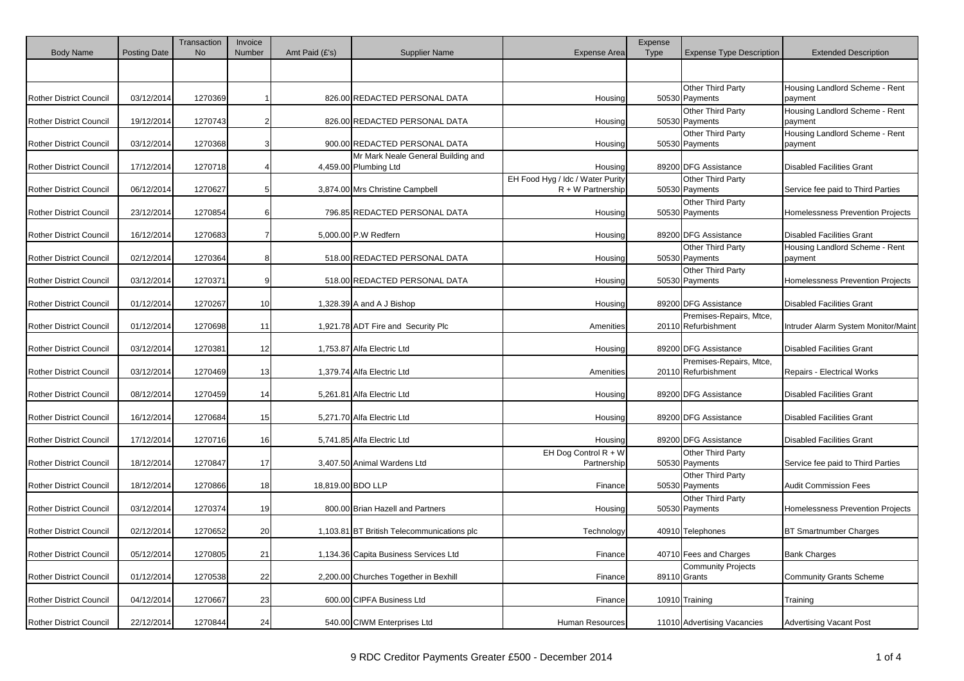| <b>Body Name</b>               | <b>Posting Date</b> | Transaction<br><b>No</b> | Invoice<br>Number | Amt Paid (£'s)    | <b>Supplier Name</b>                                        | <b>Expense Area</b>                                     | Expense<br><b>Type</b> | <b>Expense Type Description</b>                | <b>Extended Description</b>               |
|--------------------------------|---------------------|--------------------------|-------------------|-------------------|-------------------------------------------------------------|---------------------------------------------------------|------------------------|------------------------------------------------|-------------------------------------------|
|                                |                     |                          |                   |                   |                                                             |                                                         |                        |                                                |                                           |
| <b>Rother District Council</b> | 03/12/2014          | 1270369                  |                   |                   | 826.00 REDACTED PERSONAL DATA                               | Housing                                                 |                        | Other Third Party<br>50530 Payments            | Housing Landlord Scheme - Rent<br>payment |
| <b>Rother District Council</b> | 19/12/2014          | 1270743                  | 2                 |                   | 826.00 REDACTED PERSONAL DATA                               | Housing                                                 |                        | Other Third Party<br>50530 Payments            | Housing Landlord Scheme - Rent<br>payment |
| <b>Rother District Council</b> | 03/12/2014          | 1270368                  | З                 |                   | 900.00 REDACTED PERSONAL DATA                               | Housing                                                 |                        | Other Third Party<br>50530 Payments            | Housing Landlord Scheme - Rent<br>payment |
| Rother District Council        | 17/12/2014          | 1270718                  |                   |                   | Mr Mark Neale General Building and<br>4,459.00 Plumbing Ltd | Housing                                                 |                        | 89200 DFG Assistance                           | <b>Disabled Facilities Grant</b>          |
| <b>Rother District Council</b> | 06/12/2014          | 1270627                  |                   |                   | 3,874.00 Mrs Christine Campbell                             | EH Food Hyg / Idc / Water Purity<br>$R + W$ Partnership |                        | Other Third Party<br>50530 Payments            | Service fee paid to Third Parties         |
| <b>Rother District Council</b> | 23/12/2014          | 1270854                  | 6                 |                   | 796.85 REDACTED PERSONAL DATA                               | Housing                                                 |                        | Other Third Party<br>50530 Payments            | <b>Homelessness Prevention Projects</b>   |
| Rother District Council        | 16/12/2014          | 1270683                  |                   |                   | 5,000.00 P.W Redfern                                        | Housing                                                 |                        | 89200 DFG Assistance                           | <b>Disabled Facilities Grant</b>          |
| Rother District Council        | 02/12/2014          | 1270364                  | 8                 |                   | 518.00 REDACTED PERSONAL DATA                               | Housing                                                 |                        | Other Third Party<br>50530 Payments            | Housing Landlord Scheme - Rent<br>payment |
| <b>Rother District Council</b> | 03/12/2014          | 1270371                  | 9                 |                   | 518.00 REDACTED PERSONAL DATA                               | Housing                                                 |                        | Other Third Party<br>50530 Payments            | Homelessness Prevention Projects          |
| <b>Rother District Council</b> | 01/12/2014          | 1270267                  | 10                |                   | 1,328.39 A and A J Bishop                                   | Housing                                                 |                        | 89200 DFG Assistance                           | <b>Disabled Facilities Grant</b>          |
| <b>Rother District Council</b> | 01/12/2014          | 1270698                  | 11                |                   | 1,921.78 ADT Fire and Security Plc                          | Amenities                                               |                        | Premises-Repairs, Mtce,<br>20110 Refurbishment | Intruder Alarm System Monitor/Maint       |
| Rother District Council        | 03/12/2014          | 1270381                  | 12                |                   | 1,753.87 Alfa Electric Ltd                                  | Housing                                                 |                        | 89200 DFG Assistance                           | <b>Disabled Facilities Grant</b>          |
| <b>Rother District Council</b> | 03/12/2014          | 1270469                  | 13                |                   | 1,379.74 Alfa Electric Ltd                                  | Amenities                                               |                        | Premises-Repairs, Mtce,<br>20110 Refurbishment | <b>Repairs - Electrical Works</b>         |
| <b>Rother District Council</b> | 08/12/2014          | 1270459                  | 14                |                   | 5,261.81 Alfa Electric Ltd                                  | Housing                                                 |                        | 89200 DFG Assistance                           | <b>Disabled Facilities Grant</b>          |
| <b>Rother District Council</b> | 16/12/2014          | 1270684                  | 15                |                   | 5,271.70 Alfa Electric Ltd                                  | Housing                                                 |                        | 89200 DFG Assistance                           | <b>Disabled Facilities Grant</b>          |
| <b>Rother District Council</b> | 17/12/2014          | 1270716                  | 16                |                   | 5,741.85 Alfa Electric Ltd                                  | Housing                                                 |                        | 89200 DFG Assistance                           | <b>Disabled Facilities Grant</b>          |
| <b>Rother District Council</b> | 18/12/2014          | 1270847                  | 17                |                   | 3,407.50 Animal Wardens Ltd                                 | EH Dog Control $R + W$<br>Partnership                   |                        | Other Third Party<br>50530 Payments            | Service fee paid to Third Parties         |
| <b>Rother District Council</b> | 18/12/2014          | 1270866                  | 18                | 18,819.00 BDO LLP |                                                             | Finance                                                 |                        | <b>Other Third Party</b><br>50530 Payments     | <b>Audit Commission Fees</b>              |
| Rother District Council        | 03/12/2014          | 1270374                  | 19                |                   | 800.00 Brian Hazell and Partners                            | Housing                                                 |                        | Other Third Party<br>50530 Payments            | <b>Homelessness Prevention Projects</b>   |
| <b>Rother District Council</b> | 02/12/2014          | 1270652                  | 20                |                   | 1,103.81 BT British Telecommunications plc                  | Technology                                              |                        | 40910 Telephones                               | <b>BT Smartnumber Charges</b>             |
| <b>Rother District Council</b> | 05/12/2014          | 1270805                  | 21                |                   | 1,134.36 Capita Business Services Ltd                       | Finance                                                 |                        | 40710 Fees and Charges                         | <b>Bank Charges</b>                       |
| <b>Rother District Council</b> | 01/12/2014          | 1270538                  | 22                |                   | 2,200.00 Churches Together in Bexhill                       | Finance                                                 |                        | <b>Community Projects</b><br>89110 Grants      | <b>Community Grants Scheme</b>            |
| Rother District Council        | 04/12/2014          | 1270667                  | 23                |                   | 600.00 CIPFA Business Ltd                                   | Finance                                                 |                        | 10910 Training                                 | Training                                  |
| Rother District Council        | 22/12/2014          | 1270844                  | 24                |                   | 540.00 CIWM Enterprises Ltd                                 | Human Resources                                         |                        | 11010 Advertising Vacancies                    | <b>Advertising Vacant Post</b>            |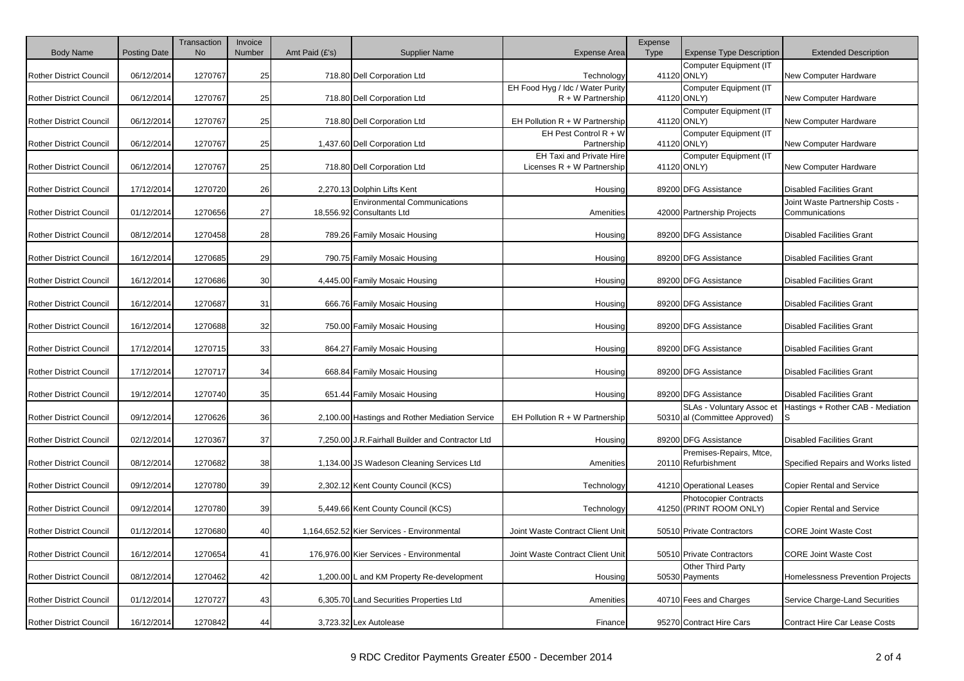|                                |                     | Transaction<br><b>No</b> | Invoice<br>Number |                  | <b>Supplier Name</b>                              |                                                          | Expense     |                                                            |                                    |
|--------------------------------|---------------------|--------------------------|-------------------|------------------|---------------------------------------------------|----------------------------------------------------------|-------------|------------------------------------------------------------|------------------------------------|
| <b>Body Name</b>               | <b>Posting Date</b> |                          |                   | Amt Paid $(E's)$ |                                                   | <b>Expense Area</b>                                      | <b>Type</b> | <b>Expense Type Description</b><br>Computer Equipment (IT  | <b>Extended Description</b>        |
| <b>Rother District Council</b> | 06/12/2014          | 1270767                  | 25                |                  | 718.80 Dell Corporation Ltd                       | Technology                                               |             | 41120 ONLY)                                                | New Computer Hardware              |
| <b>Rother District Council</b> | 06/12/2014          | 1270767                  | 25                |                  | 718.80 Dell Corporation Ltd                       | EH Food Hyg / Idc / Water Purity<br>$R + W$ Partnership  |             | Computer Equipment (IT<br>41120 ONLY)                      | New Computer Hardware              |
| <b>Rother District Council</b> | 06/12/2014          | 1270767                  | 25                |                  | 718.80 Dell Corporation Ltd                       | EH Pollution $R + W$ Partnership                         |             | Computer Equipment (IT<br>41120 ONLY)                      | New Computer Hardware              |
| <b>Rother District Council</b> | 06/12/2014          | 1270767                  | 25                |                  | 1,437.60 Dell Corporation Ltd                     | EH Pest Control $R + W$<br>Partnership                   |             | Computer Equipment (IT<br>41120 ONLY)                      | New Computer Hardware              |
| Rother District Council        | 06/12/2014          | 1270767                  | 25                |                  | 718.80 Dell Corporation Ltd                       | EH Taxi and Private Hire<br>Licenses $R + W$ Partnership |             | Computer Equipment (IT<br>41120 ONLY)                      | New Computer Hardware              |
| <b>Rother District Council</b> | 17/12/2014          | 1270720                  | 26                |                  | 2,270.13 Dolphin Lifts Kent                       | Housing                                                  |             | 89200 DFG Assistance                                       | <b>Disabled Facilities Grant</b>   |
|                                |                     |                          |                   |                  | <b>Environmental Communications</b>               |                                                          |             |                                                            | Joint Waste Partnership Costs -    |
| <b>Rother District Council</b> | 01/12/2014          | 1270656                  | 27                |                  | 18,556.92 Consultants Ltd                         | Amenities                                                |             | 42000 Partnership Projects                                 | Communications                     |
| <b>Rother District Council</b> | 08/12/2014          | 1270458                  | 28                |                  | 789.26 Family Mosaic Housing                      | Housing                                                  |             | 89200 DFG Assistance                                       | <b>Disabled Facilities Grant</b>   |
| <b>Rother District Council</b> | 16/12/2014          | 1270685                  | 29                |                  | 790.75 Family Mosaic Housing                      | Housing                                                  |             | 89200 DFG Assistance                                       | <b>Disabled Facilities Grant</b>   |
| <b>Rother District Council</b> | 16/12/2014          | 1270686                  | 30                |                  | 4,445.00 Family Mosaic Housing                    | Housing                                                  |             | 89200 DFG Assistance                                       | <b>Disabled Facilities Grant</b>   |
| <b>Rother District Council</b> | 16/12/2014          | 1270687                  | 31                |                  | 666.76 Family Mosaic Housing                      | Housing                                                  |             | 89200 DFG Assistance                                       | <b>Disabled Facilities Grant</b>   |
| <b>Rother District Council</b> | 16/12/2014          | 1270688                  | 32                |                  | 750.00 Family Mosaic Housing                      | Housing                                                  |             | 89200 DFG Assistance                                       | <b>Disabled Facilities Grant</b>   |
| <b>Rother District Council</b> | 17/12/2014          | 1270715                  | 33                |                  | 864.27 Family Mosaic Housing                      | Housing                                                  |             | 89200 DFG Assistance                                       | <b>Disabled Facilities Grant</b>   |
| <b>Rother District Council</b> | 17/12/2014          | 1270717                  | 34                |                  | 668.84 Family Mosaic Housing                      | Housing                                                  |             | 89200 DFG Assistance                                       | <b>Disabled Facilities Grant</b>   |
| <b>Rother District Council</b> | 19/12/2014          | 1270740                  | 35                |                  | 651.44 Family Mosaic Housing                      | Housing                                                  |             | 89200 DFG Assistance                                       | <b>Disabled Facilities Grant</b>   |
| <b>Rother District Council</b> | 09/12/2014          | 1270626                  | 36                |                  | 2,100.00 Hastings and Rother Mediation Service    | EH Pollution $R + W$ Partnership                         |             | SLAs - Voluntary Assoc et<br>50310 al (Committee Approved) | Hastings + Rother CAB - Mediation  |
| <b>Rother District Council</b> | 02/12/2014          | 1270367                  | 37                |                  | 7,250.00 J.R. Fairhall Builder and Contractor Ltd | Housing                                                  |             | 89200 DFG Assistance                                       | <b>Disabled Facilities Grant</b>   |
| <b>Rother District Council</b> | 08/12/2014          | 1270682                  | 38                |                  | 1,134.00 JS Wadeson Cleaning Services Ltd         | Amenities                                                |             | Premises-Repairs, Mtce,<br>20110 Refurbishment             | Specified Repairs and Works listed |
| <b>Rother District Council</b> | 09/12/2014          | 1270780                  | 39                |                  | 2,302.12 Kent County Council (KCS)                | Technology                                               |             | 41210 Operational Leases                                   | <b>Copier Rental and Service</b>   |
| <b>Rother District Council</b> | 09/12/2014          | 1270780                  | 39                |                  | 5,449.66 Kent County Council (KCS)                | Technology                                               |             | <b>Photocopier Contracts</b><br>41250 (PRINT ROOM ONLY)    | <b>Copier Rental and Service</b>   |
| <b>Rother District Council</b> | 01/12/2014          | 1270680                  | 40                |                  | 1,164,652.52 Kier Services - Environmental        | Joint Waste Contract Client Unit                         |             | 50510 Private Contractors                                  | <b>CORE Joint Waste Cost</b>       |
| <b>Rother District Council</b> | 16/12/2014          | 1270654                  | 41                |                  | 176,976.00 Kier Services - Environmental          | Joint Waste Contract Client Unit                         |             | 50510 Private Contractors                                  | <b>CORE Joint Waste Cost</b>       |
| <b>Rother District Council</b> | 08/12/2014          | 1270462                  | 42                |                  | 1,200.00 L and KM Property Re-development         | Housing                                                  |             | Other Third Party<br>50530 Payments                        | Homelessness Prevention Projects   |
| <b>Rother District Council</b> | 01/12/2014          | 1270727                  | 43                |                  | 6,305.70 Land Securities Properties Ltd           | Amenities                                                |             | 40710 Fees and Charges                                     | Service Charge-Land Securities     |
| <b>Rother District Council</b> | 16/12/2014          | 1270842                  | 44                |                  | 3,723.32 Lex Autolease                            | Finance                                                  |             | 95270 Contract Hire Cars                                   | Contract Hire Car Lease Costs      |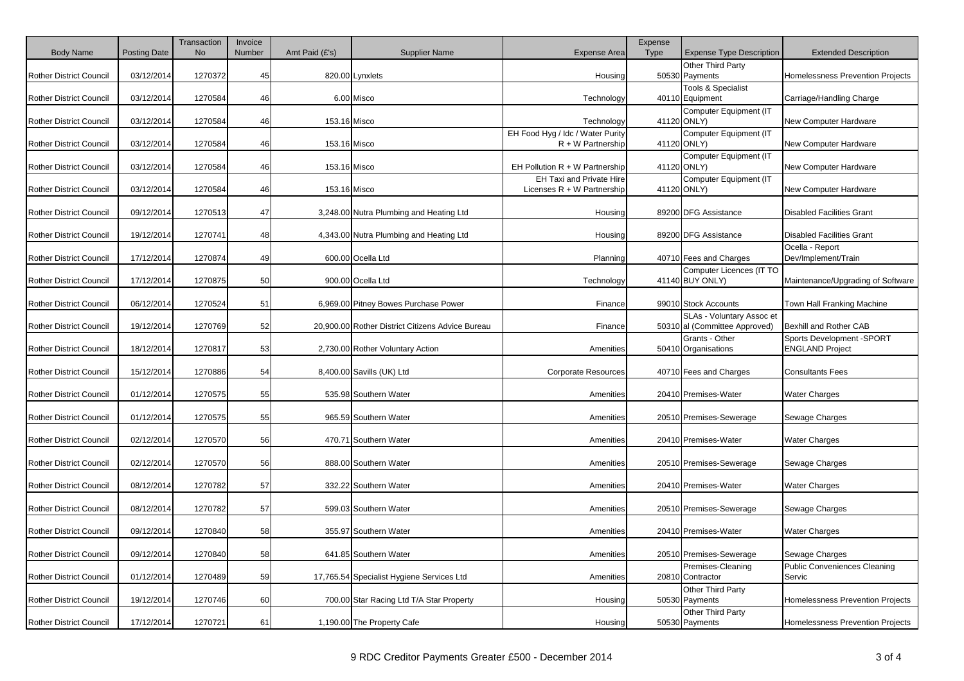| <b>Body Name</b>               | <b>Posting Date</b> | Transaction<br><b>No</b> | Invoice<br>Number | Amt Paid $(E's)$ | <b>Supplier Name</b>                             | <b>Expense Area</b>                                     | Expense<br><b>Type</b> | <b>Expense Type Description</b>                            | <b>Extended Description</b>                          |
|--------------------------------|---------------------|--------------------------|-------------------|------------------|--------------------------------------------------|---------------------------------------------------------|------------------------|------------------------------------------------------------|------------------------------------------------------|
| <b>Rother District Council</b> | 03/12/2014          | 1270372                  | 45                |                  | 820.00 Lynxlets                                  | Housing                                                 |                        | Other Third Party<br>50530 Payments                        | Homelessness Prevention Projects                     |
| Rother District Council        | 03/12/2014          | 1270584                  | 46                |                  | 6.00 Misco                                       | Technology                                              |                        | <b>Tools &amp; Specialist</b><br>40110 Equipment           | Carriage/Handling Charge                             |
| <b>Rother District Council</b> | 03/12/2014          | 1270584                  | 46                | 153.16 Misco     |                                                  | Technology                                              |                        | Computer Equipment (IT<br>41120 ONLY)                      | New Computer Hardware                                |
| <b>Rother District Council</b> | 03/12/2014          | 1270584                  | 46                | 153.16 Misco     |                                                  | EH Food Hyg / Idc / Water Purity<br>$R + W$ Partnership |                        | Computer Equipment (IT<br>41120 ONLY)                      | New Computer Hardware                                |
| <b>Rother District Council</b> | 03/12/2014          | 1270584                  | 46                | 153.16 Misco     |                                                  | EH Pollution R + W Partnership                          |                        | Computer Equipment (IT<br>41120 ONLY)                      | New Computer Hardware                                |
| <b>Rother District Council</b> | 03/12/2014          | 1270584                  | 46                | 153.16 Misco     |                                                  | EH Taxi and Private Hire<br>Licenses R + W Partnership  |                        | Computer Equipment (IT<br>41120 ONLY)                      | New Computer Hardware                                |
| <b>Rother District Council</b> | 09/12/2014          | 1270513                  | 47                |                  | 3,248.00 Nutra Plumbing and Heating Ltd          | Housing                                                 |                        | 89200 DFG Assistance                                       | <b>Disabled Facilities Grant</b>                     |
| <b>Rother District Council</b> | 19/12/2014          | 1270741                  | 48                |                  | 4,343.00 Nutra Plumbing and Heating Ltd          | Housing                                                 |                        | 89200 DFG Assistance                                       | <b>Disabled Facilities Grant</b>                     |
| <b>Rother District Council</b> | 17/12/2014          | 1270874                  | 49                |                  | 600.00 Ocella Ltd                                | Planning                                                |                        | 40710 Fees and Charges                                     | Ocella - Report<br>Dev/Implement/Train               |
| <b>Rother District Council</b> | 17/12/2014          | 1270875                  | 50                |                  | 900.00 Ocella Ltd                                | Technology                                              |                        | Computer Licences (IT TO<br>41140 BUY ONLY)                | Maintenance/Upgrading of Software                    |
| <b>Rother District Council</b> | 06/12/2014          | 1270524                  | 51                |                  | 6,969.00 Pitney Bowes Purchase Power             | Finance                                                 |                        | 99010 Stock Accounts                                       | Town Hall Franking Machine                           |
| <b>Rother District Council</b> | 19/12/2014          | 1270769                  | 52                |                  | 20,900.00 Rother District Citizens Advice Bureau | Finance                                                 |                        | SLAs - Voluntary Assoc et<br>50310 al (Committee Approved) | Bexhill and Rother CAB                               |
| <b>Rother District Council</b> | 18/12/2014          | 1270817                  | 53                |                  | 2,730.00 Rother Voluntary Action                 | Amenities                                               |                        | Grants - Other<br>50410 Organisations                      | Sports Development - SPORT<br><b>ENGLAND Project</b> |
| <b>Rother District Council</b> | 15/12/2014          | 1270886                  | 54                |                  | 8,400.00 Savills (UK) Ltd                        | <b>Corporate Resources</b>                              |                        | 40710 Fees and Charges                                     | <b>Consultants Fees</b>                              |
| <b>Rother District Council</b> | 01/12/2014          | 1270575                  | 55                |                  | 535.98 Southern Water                            | Amenities                                               |                        | 20410 Premises-Water                                       | <b>Water Charges</b>                                 |
| <b>Rother District Council</b> | 01/12/2014          | 1270575                  | 55                |                  | 965.59 Southern Water                            | Amenities                                               |                        | 20510 Premises-Sewerage                                    | Sewage Charges                                       |
| <b>Rother District Council</b> | 02/12/2014          | 1270570                  | 56                |                  | 470.71 Southern Water                            | Amenities                                               |                        | 20410 Premises-Water                                       | <b>Water Charges</b>                                 |
| <b>Rother District Council</b> | 02/12/2014          | 1270570                  | 56                |                  | 888.00 Southern Water                            | Amenities                                               |                        | 20510 Premises-Sewerage                                    | Sewage Charges                                       |
| Rother District Council        | 08/12/2014          | 1270782                  | 57                |                  | 332.22 Southern Water                            | Amenities                                               |                        | 20410 Premises-Water                                       | <b>Water Charges</b>                                 |
| <b>Rother District Council</b> | 08/12/2014          | 1270782                  | 57                |                  | 599.03 Southern Water                            | Amenities                                               |                        | 20510 Premises-Sewerage                                    | Sewage Charges                                       |
| Rother District Council        | 09/12/2014          | 1270840                  | 58                |                  | 355.97 Southern Water                            | Amenities                                               |                        | 20410 Premises-Water                                       | <b>Water Charges</b>                                 |
| <b>Rother District Council</b> | 09/12/2014          | 1270840                  | 58                |                  | 641.85 Southern Water                            | Amenities                                               |                        | 20510 Premises-Sewerage                                    | Sewage Charges                                       |
| <b>Rother District Council</b> | 01/12/2014          | 1270489                  | 59                |                  | 17,765.54 Specialist Hygiene Services Ltd        | Amenities                                               |                        | Premises-Cleaning<br>20810 Contractor                      | <b>Public Conveniences Cleaning</b><br>Servic        |
| <b>Rother District Council</b> | 19/12/2014          | 1270746                  | 60                |                  | 700.00 Star Racing Ltd T/A Star Property         | Housing                                                 |                        | Other Third Party<br>50530 Payments                        | Homelessness Prevention Projects                     |
| Rother District Council        | 17/12/2014          | 1270721                  | 61                |                  | 1,190.00 The Property Cafe                       | Housing                                                 |                        | Other Third Party<br>50530 Payments                        | Homelessness Prevention Projects                     |